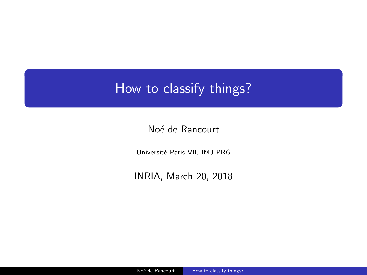# <span id="page-0-0"></span>How to classify things?

Noé de Rancourt

Université Paris VII, IMJ-PRG

INRIA, March 20, 2018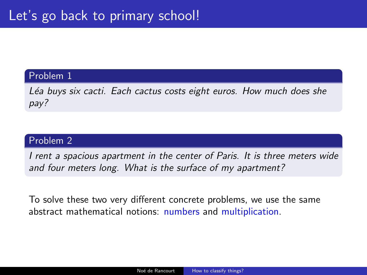#### Problem 1

Léa buys six cacti. Each cactus costs eight euros. How much does she pay?

### Problem 2

I rent a spacious apartment in the center of Paris. It is three meters wide and four meters long. What is the surface of my apartment?

To solve these two very different concrete problems, we use the same abstract mathematical notions: numbers and multiplication.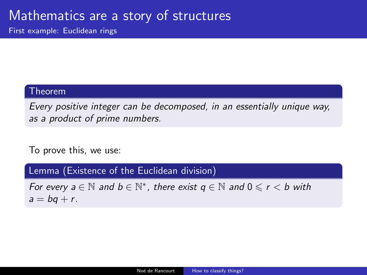## Mathematics are a story of structures

First example: Euclidean rings

#### Theorem

Every positive integer can be decomposed, in an essentially unique way, as a product of prime numbers.

To prove this, we use:

Lemma (Existence of the Euclidean division)

For every  $a \in \mathbb{N}$  and  $b \in \mathbb{N}^*$ , there exist  $q \in \mathbb{N}$  and  $0 \leqslant r < b$  with  $a = bq + r$ .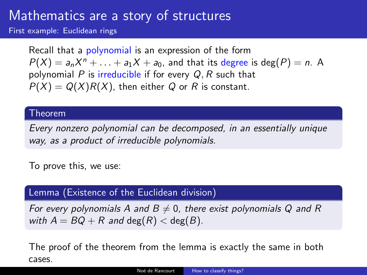## Mathematics are a story of structures

First example: Euclidean rings

Recall that a polynomial is an expression of the form  $P(X) = a_n X^n + \ldots + a_1 X + a_0$ , and that its degree is deg $(P) = n$ . A polynomial P is irreducible if for every  $Q, R$  such that  $P(X) = Q(X)R(X)$ , then either Q or R is constant.

#### Theorem

Every nonzero polynomial can be decomposed, in an essentially unique way, as a product of irreducible polynomials.

To prove this, we use:

### Lemma (Existence of the Euclidean division)

For every polynomials A and  $B\neq 0$ , there exist polynomials Q and R with  $A = BQ + R$  and  $deg(R) < deg(B)$ .

The proof of the theorem from the lemma is exactly the same in both cases.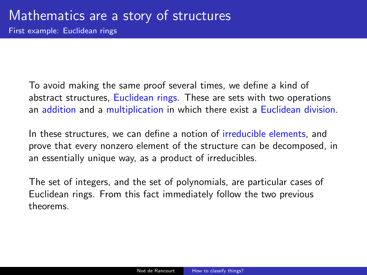First example: Euclidean rings

To avoid making the same proof several times, we define a kind of abstract structures, Euclidean rings. These are sets with two operations an addition and a multiplication in which there exist a Euclidean division.

In these structures, we can define a notion of irreducible elements, and prove that every nonzero element of the structure can be decomposed, in an essentially unique way, as a product of irreducibles.

The set of integers, and the set of polynomials, are particular cases of Euclidean rings. From this fact immediately follow the two previous theorems.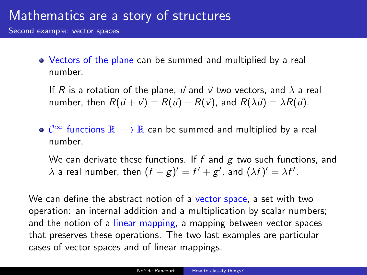Second example: vector spaces

Vectors of the plane can be summed and multiplied by a real number.

If R is a rotation of the plane,  $\vec{u}$  and  $\vec{v}$  two vectors, and  $\lambda$  a real number, then  $R(\vec{u} + \vec{v}) = R(\vec{u}) + R(\vec{v})$ , and  $R(\lambda \vec{u}) = \lambda R(\vec{u})$ .

 $\mathbf{C}^{\infty}$  functions  $\mathbb{R} \longrightarrow \mathbb{R}$  can be summed and multiplied by a real number.

We can derivate these functions. If f and  $g$  two such functions, and  $\lambda$  a real number, then  $(f+g)' = f' + g'$ , and  $(\lambda f)' = \lambda f'$ .

We can define the abstract notion of a vector space, a set with two operation: an internal addition and a multiplication by scalar numbers; and the notion of a linear mapping, a mapping between vector spaces that preserves these operations. The two last examples are particular cases of vector spaces and of linear mappings.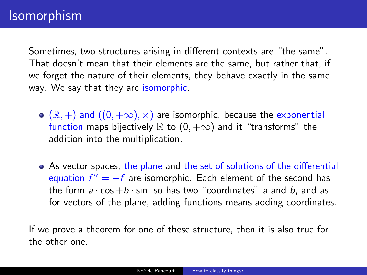Sometimes, two structures arising in different contexts are "the same". That doesn't mean that their elements are the same, but rather that, if we forget the nature of their elements, they behave exactly in the same way. We say that they are isomorphic.

- $\bullet$  ( $\mathbb{R}, +$ ) and  $((0, +\infty), \times)$  are isomorphic, because the exponential function maps bijectively  $\mathbb R$  to  $(0, +\infty)$  and it "transforms" the addition into the multiplication.
- As vector spaces, the plane and the set of solutions of the differential equation  $f'' = -f$  are isomorphic. Each element of the second has the form  $a \cdot \cos + b \cdot \sin$ , so has two "coordinates" a and b, and as for vectors of the plane, adding functions means adding coordinates.

If we prove a theorem for one of these structure, then it is also true for the other one.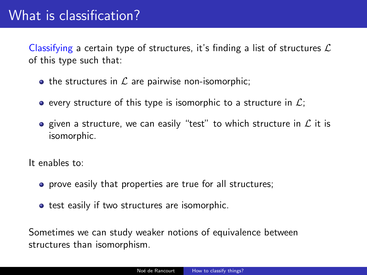Classifying a certain type of structures, it's finding a list of structures  $\mathcal L$ of this type such that:

- the structures in  $\mathcal L$  are pairwise non-isomorphic;
- **e** every structure of this type is isomorphic to a structure in  $\mathcal{L}$ ;
- given a structure, we can easily "test" to which structure in  $\mathcal L$  it is isomorphic.

It enables to:

- **•** prove easily that properties are true for all structures;
- **•** test easily if two structures are isomorphic.

Sometimes we can study weaker notions of equivalence between structures than isomorphism.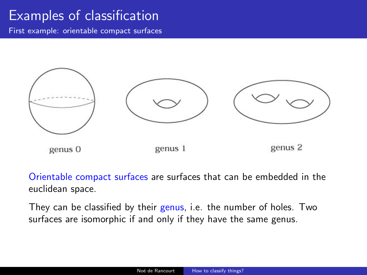## Examples of classification

First example: orientable compact surfaces



Orientable compact surfaces are surfaces that can be embedded in the euclidean space.

They can be classified by their genus, i.e. the number of holes. Two surfaces are isomorphic if and only if they have the same genus.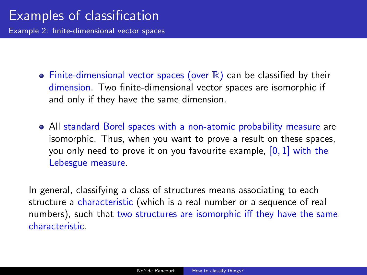Example 2: finite-dimensional vector spaces

- $\bullet$  Finite-dimensional vector spaces (over  $\mathbb R$ ) can be classified by their dimension. Two finite-dimensional vector spaces are isomorphic if and only if they have the same dimension.
- All standard Borel spaces with a non-atomic probability measure are isomorphic. Thus, when you want to prove a result on these spaces, you only need to prove it on you favourite example,  $[0, 1]$  with the Lebesgue measure.

In general, classifying a class of structures means associating to each structure a characteristic (which is a real number or a sequence of real numbers), such that two structures are isomorphic iff they have the same characteristic.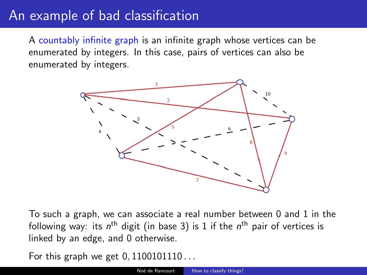### An example of bad classification

A countably infinite graph is an infinite graph whose vertices can be enumerated by integers. In this case, pairs of vertices can also be enumerated by integers.



To such a graph, we can associate a real number between 0 and 1 in the following way: its  $n^{\text{th}}$  digit (in base 3) is 1 if the  $n^{\text{th}}$  pair of vertices is linked by an edge, and 0 otherwise.

For this graph we get  $0, 1100101110...$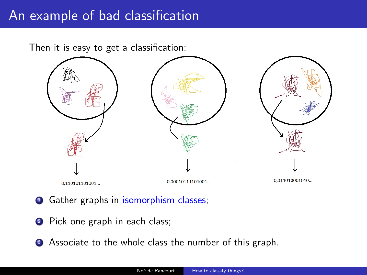### An example of bad classification

Then it is easy to get a classification:



- **•** Gather graphs in isomorphism classes;
- <sup>2</sup> Pick one graph in each class;
- **3** Associate to the whole class the number of this graph.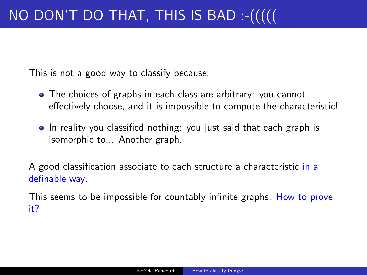This is not a good way to classify because:

- The choices of graphs in each class are arbitrary: you cannot effectively choose, and it is impossible to compute the characteristic!
- In reality you classified nothing: you just said that each graph is isomorphic to... Another graph.

A good classification associate to each structure a characteristic in a definable way.

This seems to be impossible for countably infinite graphs. How to prove it?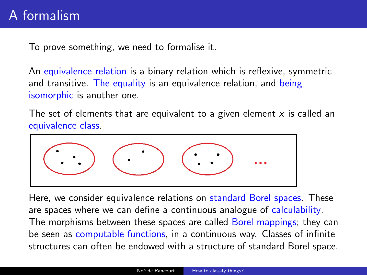To prove something, we need to formalise it.

An equivalence relation is a binary relation which is reflexive, symmetric and transitive. The equality is an equivalence relation, and being isomorphic is another one.

The set of elements that are equivalent to a given element  $x$  is called an equivalence class.



Here, we consider equivalence relations on standard Borel spaces. These are spaces where we can define a continuous analogue of calculability. The morphisms between these spaces are called Borel mappings; they can be seen as computable functions, in a continuous way. Classes of infinite structures can often be endowed with a structure of standard Borel space.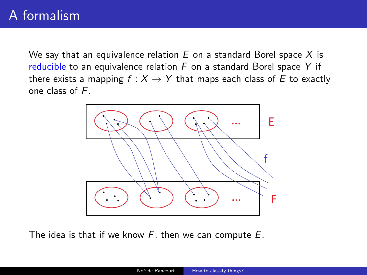We say that an equivalence relation  $E$  on a standard Borel space  $X$  is reducible to an equivalence relation  $F$  on a standard Borel space Y if there exists a mapping  $f : X \to Y$  that maps each class of E to exactly one class of F.



The idea is that if we know  $F$ , then we can compute  $E$ .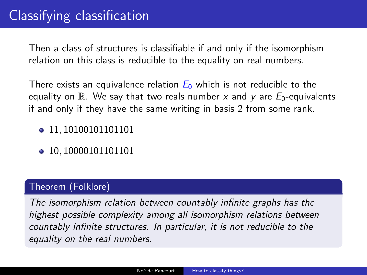Then a class of structures is classifiable if and only if the isomorphism relation on this class is reducible to the equality on real numbers.

There exists an equivalence relation  $E_0$  which is not reducible to the equality on  $\mathbb R$ . We say that two reals number x and y are  $E_0$ -equivalents if and only if they have the same writing in basis 2 from some rank.

- 11, 10100101101101
- 10, 10000101101101

### Theorem (Folklore)

The isomorphism relation between countably infinite graphs has the highest possible complexity among all isomorphism relations between countably infinite structures. In particular, it is not reducible to the equality on the real numbers.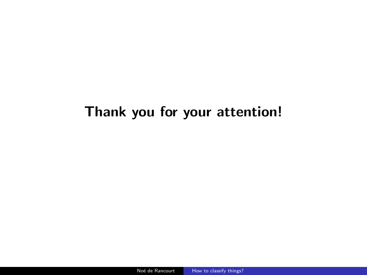# Thank you for your attention!